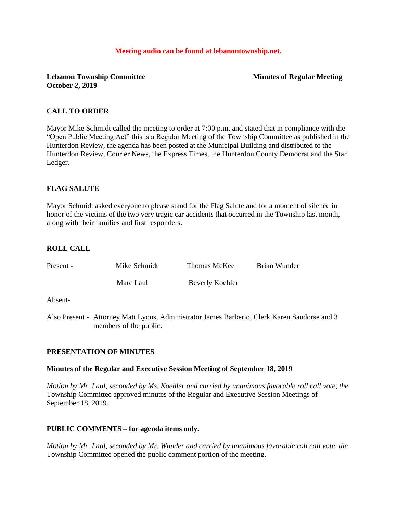#### **Meeting audio can be found at lebanontownship.net.**

## **Lebanon Township Committee Minutes of Regular Meeting October 2, 2019**

## **CALL TO ORDER**

Mayor Mike Schmidt called the meeting to order at 7:00 p.m. and stated that in compliance with the "Open Public Meeting Act" this is a Regular Meeting of the Township Committee as published in the Hunterdon Review, the agenda has been posted at the Municipal Building and distributed to the Hunterdon Review, Courier News, the Express Times, the Hunterdon County Democrat and the Star Ledger.

### **FLAG SALUTE**

Mayor Schmidt asked everyone to please stand for the Flag Salute and for a moment of silence in honor of the victims of the two very tragic car accidents that occurred in the Township last month, along with their families and first responders.

## **ROLL CALL**

| Present - | Mike Schmidt | Thomas McKee    | Brian Wunder |
|-----------|--------------|-----------------|--------------|
|           | Marc Laul    | Beverly Koehler |              |

Absent-

Also Present - Attorney Matt Lyons, Administrator James Barberio, Clerk Karen Sandorse and 3 members of the public.

### **PRESENTATION OF MINUTES**

### **Minutes of the Regular and Executive Session Meeting of September 18, 2019**

*Motion by Mr. Laul, seconded by Ms. Koehler and carried by unanimous favorable roll call vote, the* Township Committee approved minutes of the Regular and Executive Session Meetings of September 18, 2019.

### **PUBLIC COMMENTS – for agenda items only.**

*Motion by Mr. Laul, seconded by Mr. Wunder and carried by unanimous favorable roll call vote, the* Township Committee opened the public comment portion of the meeting.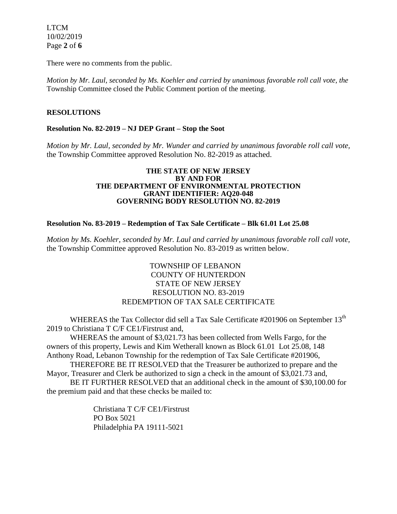LTCM 10/02/2019 Page **2** of **6**

There were no comments from the public.

*Motion by Mr. Laul, seconded by Ms. Koehler and carried by unanimous favorable roll call vote, the* Township Committee closed the Public Comment portion of the meeting.

### **RESOLUTIONS**

### **Resolution No. 82-2019 – NJ DEP Grant – Stop the Soot**

*Motion by Mr. Laul, seconded by Mr. Wunder and carried by unanimous favorable roll call vote,* the Township Committee approved Resolution No. 82-2019 as attached.

#### **THE STATE OF NEW JERSEY BY AND FOR THE DEPARTMENT OF ENVIRONMENTAL PROTECTION GRANT IDENTIFIER: AQ20-048 GOVERNING BODY RESOLUTION NO. 82-2019**

### **Resolution No. 83-2019 – Redemption of Tax Sale Certificate – Blk 61.01 Lot 25.08**

*Motion by Ms. Koehler, seconded by Mr. Laul and carried by unanimous favorable roll call vote,* the Township Committee approved Resolution No. 83-2019 as written below.

> TOWNSHIP OF LEBANON COUNTY OF HUNTERDON STATE OF NEW JERSEY RESOLUTION NO. 83-2019 REDEMPTION OF TAX SALE CERTIFICATE

WHEREAS the Tax Collector did sell a Tax Sale Certificate #201906 on September 13<sup>th</sup> 2019 to Christiana T C/F CE1/Firstrust and,

WHEREAS the amount of \$3,021.73 has been collected from Wells Fargo, for the owners of this property, Lewis and Kim Wetherall known as Block 61.01 Lot 25.08, 148 Anthony Road, Lebanon Township for the redemption of Tax Sale Certificate #201906,

THEREFORE BE IT RESOLVED that the Treasurer be authorized to prepare and the Mayor, Treasurer and Clerk be authorized to sign a check in the amount of \$3,021.73 and,

BE IT FURTHER RESOLVED that an additional check in the amount of \$30,100.00 for the premium paid and that these checks be mailed to:

> Christiana T C/F CE1/Firstrust PO Box 5021 Philadelphia PA 19111-5021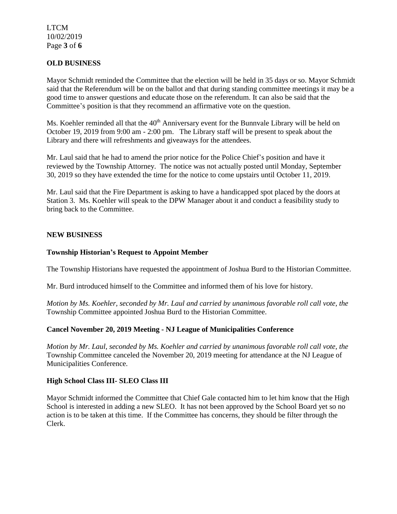### LTCM 10/02/2019 Page **3** of **6**

## **OLD BUSINESS**

Mayor Schmidt reminded the Committee that the election will be held in 35 days or so. Mayor Schmidt said that the Referendum will be on the ballot and that during standing committee meetings it may be a good time to answer questions and educate those on the referendum. It can also be said that the Committee's position is that they recommend an affirmative vote on the question.

Ms. Koehler reminded all that the  $40<sup>th</sup>$  Anniversary event for the Bunnvale Library will be held on October 19, 2019 from 9:00 am - 2:00 pm. The Library staff will be present to speak about the Library and there will refreshments and giveaways for the attendees.

Mr. Laul said that he had to amend the prior notice for the Police Chief's position and have it reviewed by the Township Attorney. The notice was not actually posted until Monday, September 30, 2019 so they have extended the time for the notice to come upstairs until October 11, 2019.

Mr. Laul said that the Fire Department is asking to have a handicapped spot placed by the doors at Station 3. Ms. Koehler will speak to the DPW Manager about it and conduct a feasibility study to bring back to the Committee.

### **NEW BUSINESS**

### **Township Historian's Request to Appoint Member**

The Township Historians have requested the appointment of Joshua Burd to the Historian Committee.

Mr. Burd introduced himself to the Committee and informed them of his love for history.

*Motion by Ms. Koehler, seconded by Mr. Laul and carried by unanimous favorable roll call vote, the* Township Committee appointed Joshua Burd to the Historian Committee.

### **Cancel November 20, 2019 Meeting - NJ League of Municipalities Conference**

*Motion by Mr. Laul, seconded by Ms. Koehler and carried by unanimous favorable roll call vote, the* Township Committee canceled the November 20, 2019 meeting for attendance at the NJ League of Municipalities Conference.

### **High School Class III- SLEO Class III**

Mayor Schmidt informed the Committee that Chief Gale contacted him to let him know that the High School is interested in adding a new SLEO. It has not been approved by the School Board yet so no action is to be taken at this time. If the Committee has concerns, they should be filter through the Clerk.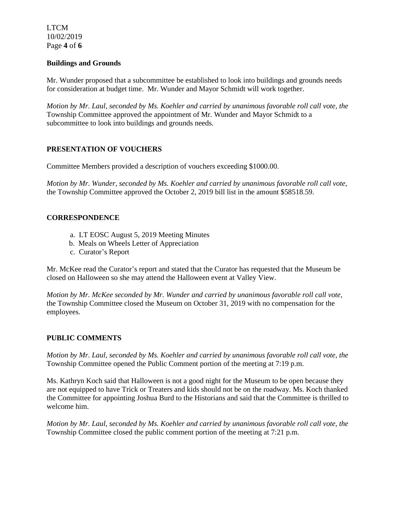LTCM 10/02/2019 Page **4** of **6**

### **Buildings and Grounds**

Mr. Wunder proposed that a subcommittee be established to look into buildings and grounds needs for consideration at budget time. Mr. Wunder and Mayor Schmidt will work together.

*Motion by Mr. Laul, seconded by Ms. Koehler and carried by unanimous favorable roll call vote, the* Township Committee approved the appointment of Mr. Wunder and Mayor Schmidt to a subcommittee to look into buildings and grounds needs.

### **PRESENTATION OF VOUCHERS**

Committee Members provided a description of vouchers exceeding \$1000.00.

*Motion by Mr. Wunder, seconded by Ms. Koehler and carried by unanimous favorable roll call vote,* the Township Committee approved the October 2, 2019 bill list in the amount \$58518.59.

### **CORRESPONDENCE**

- a. LT EOSC August 5, 2019 Meeting Minutes
- b. Meals on Wheels Letter of Appreciation
- c. Curator's Report

Mr. McKee read the Curator's report and stated that the Curator has requested that the Museum be closed on Halloween so she may attend the Halloween event at Valley View.

*Motion by Mr. McKee seconded by Mr. Wunder and carried by unanimous favorable roll call vote,* the Township Committee closed the Museum on October 31, 2019 with no compensation for the employees.

### **PUBLIC COMMENTS**

*Motion by Mr. Laul, seconded by Ms. Koehler and carried by unanimous favorable roll call vote, the* Township Committee opened the Public Comment portion of the meeting at 7:19 p.m.

Ms. Kathryn Koch said that Halloween is not a good night for the Museum to be open because they are not equipped to have Trick or Treaters and kids should not be on the roadway. Ms. Koch thanked the Committee for appointing Joshua Burd to the Historians and said that the Committee is thrilled to welcome him.

*Motion by Mr. Laul, seconded by Ms. Koehler and carried by unanimous favorable roll call vote, the* Township Committee closed the public comment portion of the meeting at 7:21 p.m.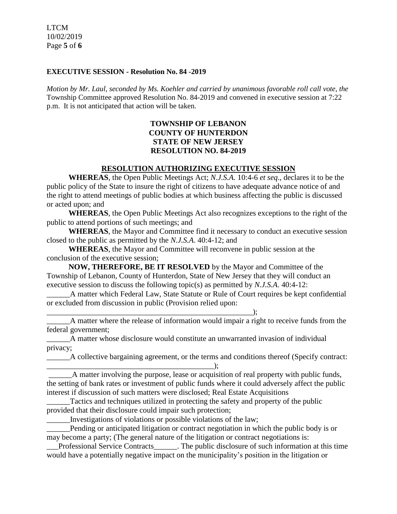LTCM 10/02/2019 Page **5** of **6**

#### **EXECUTIVE SESSION - Resolution No. 84 -2019**

*Motion by Mr. Laul, seconded by Ms. Koehler and carried by unanimous favorable roll call vote, the* Township Committee approved Resolution No. 84-2019 and convened in executive session at 7:22 p.m. It is not anticipated that action will be taken.

# **TOWNSHIP OF LEBANON COUNTY OF HUNTERDON STATE OF NEW JERSEY RESOLUTION NO. 84-2019**

## **RESOLUTION AUTHORIZING EXECUTIVE SESSION**

**WHEREAS**, the Open Public Meetings Act; *N.J.S.A.* 10:4-6 *et seq*., declares it to be the public policy of the State to insure the right of citizens to have adequate advance notice of and the right to attend meetings of public bodies at which business affecting the public is discussed or acted upon; and

**WHEREAS**, the Open Public Meetings Act also recognizes exceptions to the right of the public to attend portions of such meetings; and

**WHEREAS**, the Mayor and Committee find it necessary to conduct an executive session closed to the public as permitted by the *N.J.S.A*. 40:4-12; and

**WHEREAS**, the Mayor and Committee will reconvene in public session at the conclusion of the executive session;

**NOW, THEREFORE, BE IT RESOLVED** by the Mayor and Committee of the Township of Lebanon, County of Hunterdon, State of New Jersey that they will conduct an executive session to discuss the following topic(s) as permitted by *N.J.S.A*. 40:4-12:

A matter which Federal Law, State Statute or Rule of Court requires be kept confidential or excluded from discussion in public (Provision relied upon:

 $\qquad \qquad ; \qquad$ \_\_\_\_\_\_A matter where the release of information would impair a right to receive funds from the federal government;

\_\_\_\_\_\_A matter whose disclosure would constitute an unwarranted invasion of individual privacy;

\_\_\_\_\_\_A collective bargaining agreement, or the terms and conditions thereof (Specify contract: \_\_\_\_\_\_\_\_\_\_\_\_\_\_\_\_\_\_\_\_\_\_\_\_\_\_\_\_\_\_\_\_\_\_\_\_\_\_\_\_\_\_\_);

\_\_\_\_\_\_A matter involving the purpose, lease or acquisition of real property with public funds, the setting of bank rates or investment of public funds where it could adversely affect the public interest if discussion of such matters were disclosed; Real Estate Acquisitions

Tactics and techniques utilized in protecting the safety and property of the public provided that their disclosure could impair such protection;

\_\_\_\_\_\_Investigations of violations or possible violations of the law;

Pending or anticipated litigation or contract negotiation in which the public body is or may become a party; (The general nature of the litigation or contract negotiations is:

Professional Service Contracts The public disclosure of such information at this time would have a potentially negative impact on the municipality's position in the litigation or